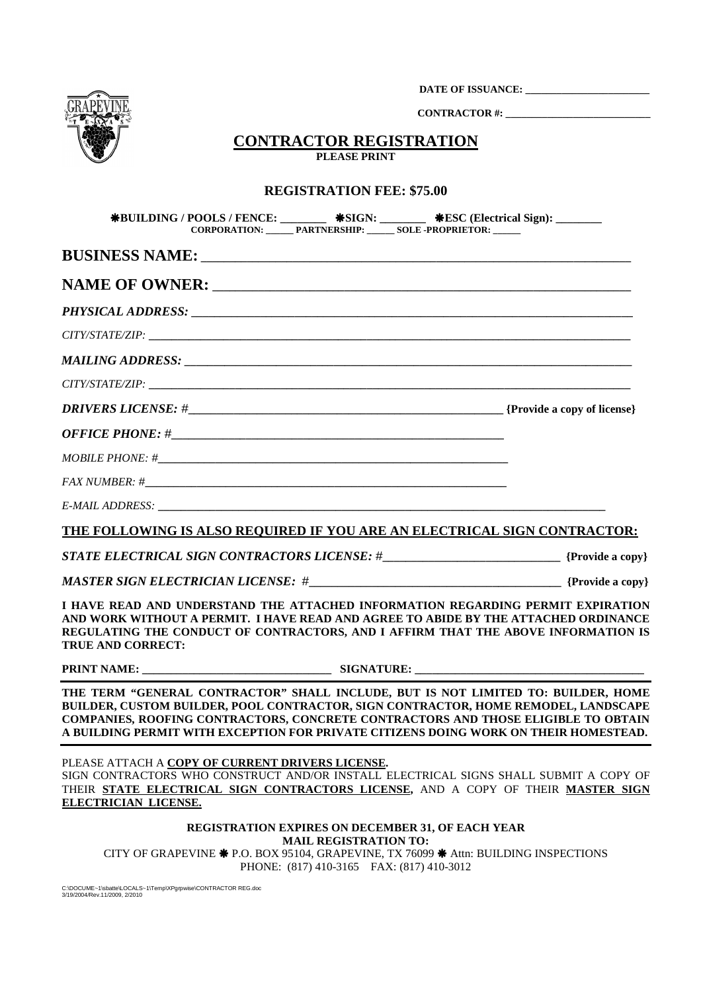**DATE OF ISSUANCE: \_\_\_\_\_\_\_\_\_\_\_\_\_\_\_\_\_\_\_\_\_\_\_\_** 



 **CONTRACTOR #: \_\_\_\_\_\_\_\_\_\_\_\_\_\_\_\_\_\_\_\_\_\_\_\_\_\_\_\_**

## **CONTRACTOR REGISTRATION PLEASE PRINT**

## **REGISTRATION FEE: \$75.00**

| <b>*BUILDING / POOLS / FENCE:</b> ________ *SIGN: _______ *ESC (Electrical Sign): ______<br>CORPORATION: PARTNERSHIP: SOLE-PROPRIETOR:                                                                                                                                                                                                               |                              |                                                          |  |
|------------------------------------------------------------------------------------------------------------------------------------------------------------------------------------------------------------------------------------------------------------------------------------------------------------------------------------------------------|------------------------------|----------------------------------------------------------|--|
|                                                                                                                                                                                                                                                                                                                                                      |                              |                                                          |  |
|                                                                                                                                                                                                                                                                                                                                                      |                              |                                                          |  |
|                                                                                                                                                                                                                                                                                                                                                      |                              |                                                          |  |
|                                                                                                                                                                                                                                                                                                                                                      |                              |                                                          |  |
|                                                                                                                                                                                                                                                                                                                                                      |                              |                                                          |  |
|                                                                                                                                                                                                                                                                                                                                                      |                              |                                                          |  |
|                                                                                                                                                                                                                                                                                                                                                      |                              |                                                          |  |
|                                                                                                                                                                                                                                                                                                                                                      |                              |                                                          |  |
|                                                                                                                                                                                                                                                                                                                                                      |                              |                                                          |  |
|                                                                                                                                                                                                                                                                                                                                                      |                              |                                                          |  |
|                                                                                                                                                                                                                                                                                                                                                      |                              |                                                          |  |
| THE FOLLOWING IS ALSO REQUIRED IF YOU ARE AN ELECTRICAL SIGN CONTRACTOR:                                                                                                                                                                                                                                                                             |                              |                                                          |  |
|                                                                                                                                                                                                                                                                                                                                                      |                              |                                                          |  |
|                                                                                                                                                                                                                                                                                                                                                      |                              |                                                          |  |
| I HAVE READ AND UNDERSTAND THE ATTACHED INFORMATION REGARDING PERMIT EXPIRATION<br>AND WORK WITHOUT A PERMIT. I HAVE READ AND AGREE TO ABIDE BY THE ATTACHED ORDINANCE<br>REGULATING THE CONDUCT OF CONTRACTORS, AND I AFFIRM THAT THE ABOVE INFORMATION IS<br><b>TRUE AND CORRECT:</b>                                                              |                              |                                                          |  |
|                                                                                                                                                                                                                                                                                                                                                      |                              |                                                          |  |
| THE TERM "GENERAL CONTRACTOR" SHALL INCLUDE, BUT IS NOT LIMITED TO: BUILDER, HOME<br>BUILDER, CUSTOM BUILDER, POOL CONTRACTOR, SIGN CONTRACTOR, HOME REMODEL, LANDSCAPE<br>COMPANIES, ROOFING CONTRACTORS, CONCRETE CONTRACTORS AND THOSE ELIGIBLE TO OBTAIN<br>A BUILDING PERMIT WITH EXCEPTION FOR PRIVATE CITIZENS DOING WORK ON THEIR HOMESTEAD. |                              |                                                          |  |
| PLEASE ATTACH A COPY OF CURRENT DRIVERS LICENSE.<br>SIGN CONTRACTORS WHO CONSTRUCT AND/OR INSTALL ELECTRICAL SIGNS SHALL SUBMIT A COPY OF<br>THEIR STATE ELECTRICAL SIGN CONTRACTORS LICENSE, AND A COPY OF THEIR MASTER SIGN<br>ELECTRICIAN LICENSE.                                                                                                |                              |                                                          |  |
|                                                                                                                                                                                                                                                                                                                                                      | <b>MAIL REGISTRATION TO:</b> | <b>REGISTRATION EXPIRES ON DECEMBER 31, OF EACH YEAR</b> |  |

CITY OF GRAPEVINE \* P.O. BOX 95104, GRAPEVINE, TX 76099 \* Attn: BUILDING INSPECTIONS PHONE: (817) 410-3165 FAX: (817) 410-3012

C:\DOCUME~1\sbatte\LOCALS~1\Temp\XPgrpwise\CONTRACTOR REG.doc 3/19/2004/Rev.11/2009, 2/2010